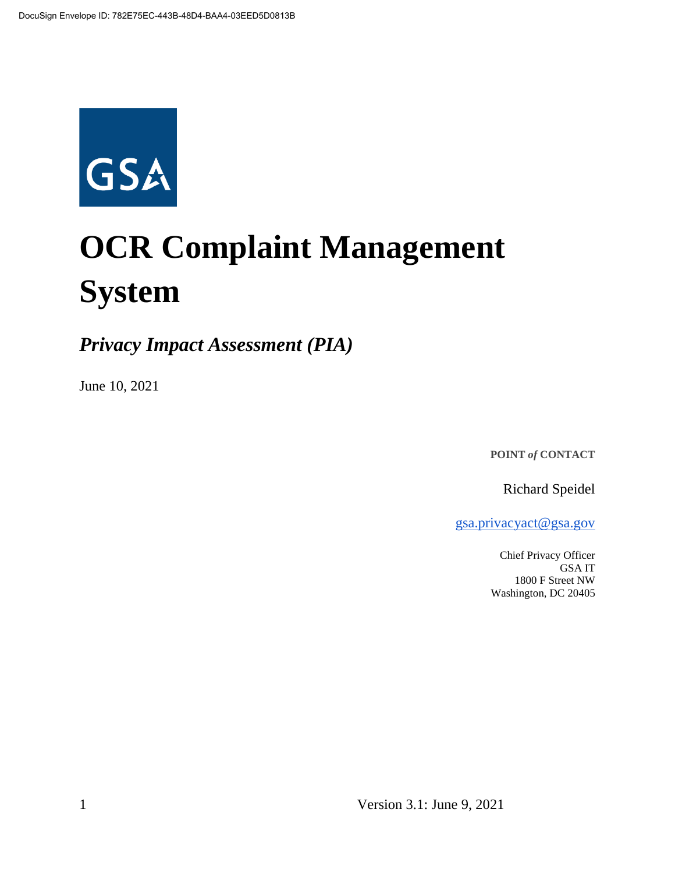

# **OCR Complaint Management System**

*Privacy Impact Assessment (PIA)*

June 10, 2021

**POINT** *of* **CONTACT**

Richard Speidel

gsa.privacyact@gsa.gov

Chief Privacy Officer GSA IT 1800 F Street NW Washington, DC 20405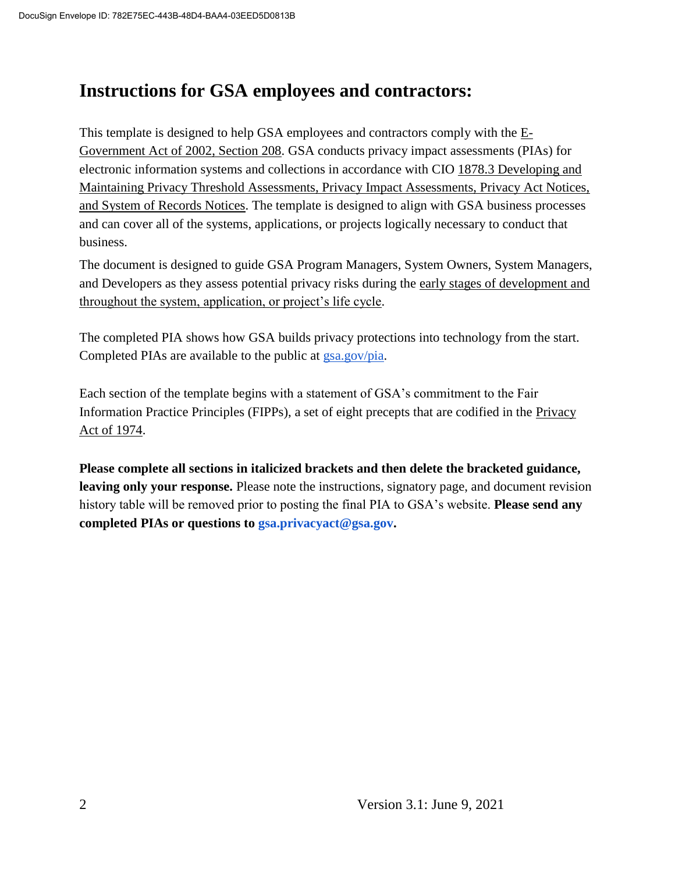## **Instructions for GSA employees and contractors:**

This template is designed to help GSA employees and contractors comply with the  $E$ -Government Act of 2002, Section 208. GSA conducts privacy impact assessments (PIAs) for electronic information systems and collections in accordance with CIO 1878.3 Developing and Maintaining Privacy Threshold Assessments, Privacy Impact Assessments, Privacy Act Notices, and System of Records Notices. The template is designed to align with GSA business processes and can cover all of the systems, applications, or projects logically necessary to conduct that business.

The document is designed to guide GSA Program Managers, System Owners, System Managers, and Developers as they assess potential privacy risks during the early stages of development and throughout the system, application, or project's life cycle.

The completed PIA shows how GSA builds privacy protections into technology from the start. Completed PIAs are available to the public at gsa.gov/pia.

Each section of the template begins with a statement of GSA's commitment to the Fair Information Practice Principles (FIPPs), a set of eight precepts that are codified in the Privacy Act of 1974.

**Please complete all sections in italicized brackets and then delete the bracketed guidance, leaving only your response.** Please note the instructions, signatory page, and document revision history table will be removed prior to posting the final PIA to GSA's website. **Please send any completed PIAs or questions to gsa.privacyact@gsa.gov.**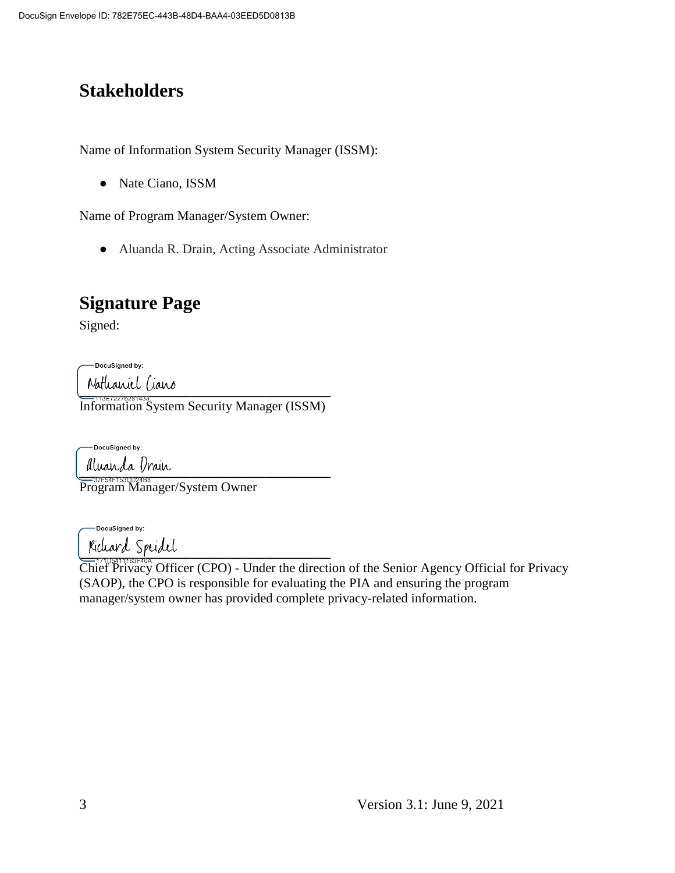# **Stakeholders**

Name of Information System Security Manager (ISSM):

• Nate Ciano, ISSM

Name of Program Manager/System Owner:

● Aluanda R. Drain, Acting Associate Administrator

# **Signature Page**

Signed:

-DocuSigned by:

Nathaniel Ciano

Information System Security Manager (ISSM)

-DocuSigned by:

 $\mu$ uu $\mu$ u $\mu$ 

Program Manager/System Owner

-DocuSigned by:

 $\frac{1}{2}$ 

Chief Privacy Officer (CPO) - Under the direction of the Senior Agency Official for Privacy (SAOP), the CPO is responsible for evaluating the PIA and ensuring the program manager/system owner has provided complete privacy-related information.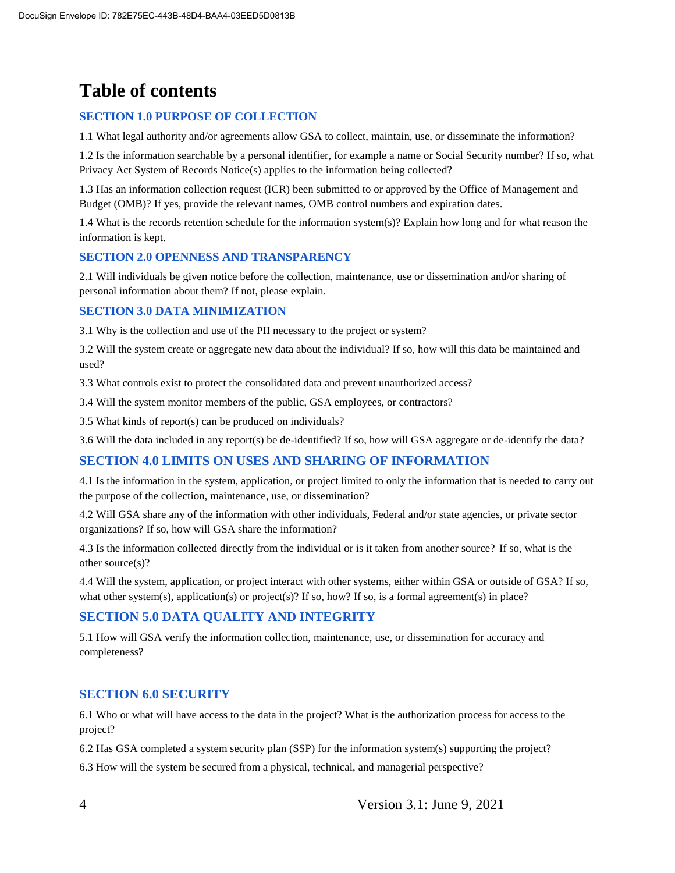# **Table of contents**

#### **SECTION 1.0 PURPOSE OF COLLECTION**

1.1 What legal authority and/or agreements allow GSA to collect, maintain, use, or disseminate the information?

1.2 Is the information searchable by a personal identifier, for example a name or Social Security number? If so, what Privacy Act System of Records Notice(s) applies to the information being collected?

1.3 Has an information collection request (ICR) been submitted to or approved by the Office of Management and Budget (OMB)? If yes, provide the relevant names, OMB control numbers and expiration dates.

1.4 What is the records retention schedule for the information system(s)? Explain how long and for what reason the information is kept.

#### **SECTION 2.0 OPENNESS AND TRANSPARENCY**

2.1 Will individuals be given notice before the collection, maintenance, use or dissemination and/or sharing of personal information about them? If not, please explain.

#### **SECTION 3.0 DATA MINIMIZATION**

3.1 Why is the collection and use of the PII necessary to the project or system?

3.2 Will the system create or aggregate new data about the individual? If so, how will this data be maintained and used?

3.3 What controls exist to protect the consolidated data and prevent unauthorized access?

3.4 Will the system monitor members of the public, GSA employees, or contractors?

3.5 What kinds of report(s) can be produced on individuals?

3.6 Will the data included in any report(s) be de-identified? If so, how will GSA aggregate or de-identify the data?

#### **SECTION 4.0 LIMITS ON USES AND SHARING OF INFORMATION**

4.1 Is the information in the system, application, or project limited to only the information that is needed to carry out the purpose of the collection, maintenance, use, or dissemination?

4.2 Will GSA share any of the information with other individuals, Federal and/or state agencies, or private sector organizations? If so, how will GSA share the information?

4.3 Is the information collected directly from the individual or is it taken from another source? If so, what is the other source(s)?

4.4 Will the system, application, or project interact with other systems, either within GSA or outside of GSA? If so, what other system(s), application(s) or project(s)? If so, how? If so, is a formal agreement(s) in place?

#### **SECTION 5.0 DATA QUALITY AND INTEGRITY**

5.1 How will GSA verify the information collection, maintenance, use, or dissemination for accuracy and completeness?

#### **SECTION 6.0 SECURITY**

6.1 Who or what will have access to the data in the project? What is the authorization process for access to the project?

6.2 Has GSA completed a system security plan (SSP) for the information system(s) supporting the project?

6.3 How will the system be secured from a physical, technical, and managerial perspective?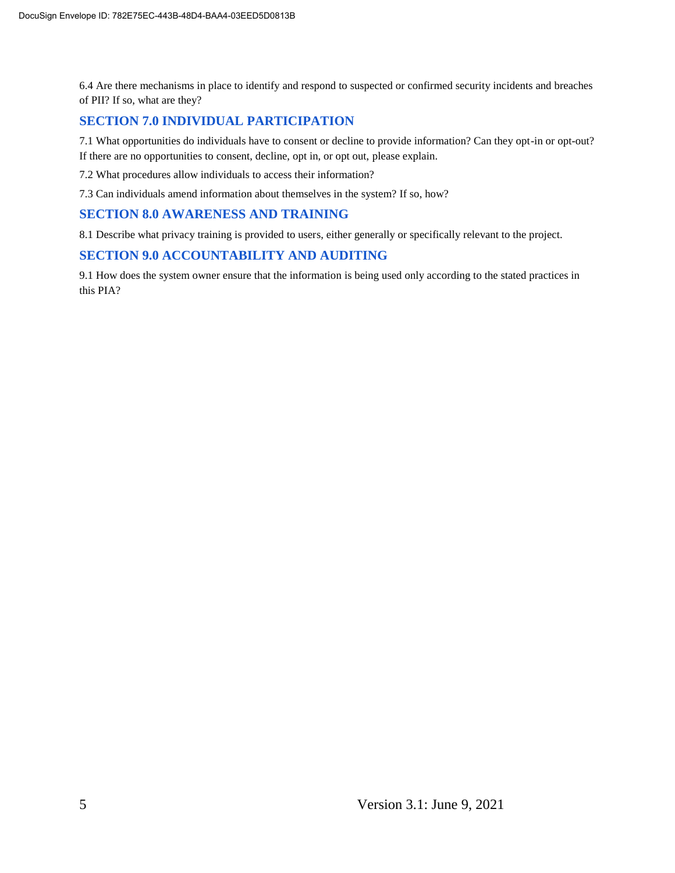6.4 Are there mechanisms in place to identify and respond to suspected or confirmed security incidents and breaches of PII? If so, what are they?

#### **SECTION 7.0 INDIVIDUAL PARTICIPATION**

7.1 What opportunities do individuals have to consent or decline to provide information? Can they opt-in or opt-out? If there are no opportunities to consent, decline, opt in, or opt out, please explain.

7.2 What procedures allow individuals to access their information?

7.3 Can individuals amend information about themselves in the system? If so, how?

#### **SECTION 8.0 AWARENESS AND TRAINING**

8.1 Describe what privacy training is provided to users, either generally or specifically relevant to the project.

#### **SECTION 9.0 ACCOUNTABILITY AND AUDITING**

9.1 How does the system owner ensure that the information is being used only according to the stated practices in this PIA?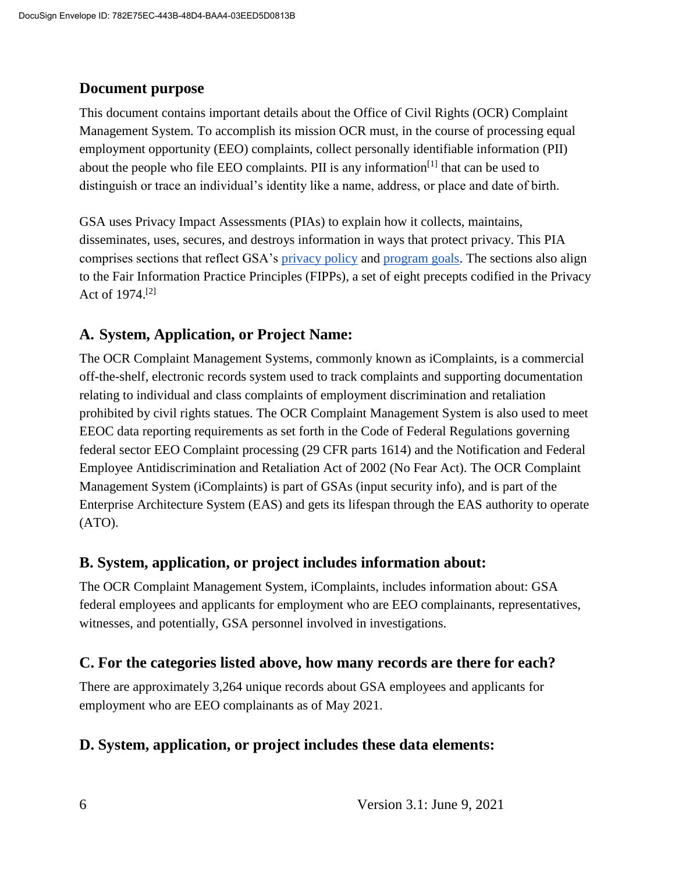#### **Document purpose**

This document contains important details about the Office of Civil Rights (OCR) Complaint Management System*.* To accomplish its mission OCR must, in the course of processing equal employment opportunity (EEO) complaints, collect personally identifiable information (PII) about the people who file EEO complaints. PII is any information<sup>[1]</sup> that can be used to distinguish or trace an individual's identity like a name, address, or place and date of birth.

GSA uses Privacy Impact Assessments (PIAs) to explain how it collects, maintains, disseminates, uses, secures, and destroys information in ways that protect privacy. This PIA comprises sections that reflect GSA's privacy policy and program goals. The sections also align to the Fair Information Practice Principles (FIPPs), a set of eight precepts codified in the Privacy Act of 1974.[2]

#### **A. System, Application, or Project Name:**

The OCR Complaint Management Systems, commonly known as iComplaints, is a commercial off-the-shelf, electronic records system used to track complaints and supporting documentation relating to individual and class complaints of employment discrimination and retaliation prohibited by civil rights statues. The OCR Complaint Management System is also used to meet EEOC data reporting requirements as set forth in the Code of Federal Regulations governing federal sector EEO Complaint processing (29 CFR parts 1614) and the Notification and Federal Employee Antidiscrimination and Retaliation Act of 2002 (No Fear Act). The OCR Complaint Management System (iComplaints) is part of GSAs (input security info), and is part of the Enterprise Architecture System (EAS) and gets its lifespan through the EAS authority to operate (ATO).

#### **B. System, application, or project includes information about:**

The OCR Complaint Management System, iComplaints, includes information about: GSA federal employees and applicants for employment who are EEO complainants, representatives, witnesses, and potentially, GSA personnel involved in investigations.

#### **C. For the categories listed above, how many records are there for each?**

There are approximately 3,264 unique records about GSA employees and applicants for employment who are EEO complainants as of May 2021.

#### **D. System, application, or project includes these data elements:**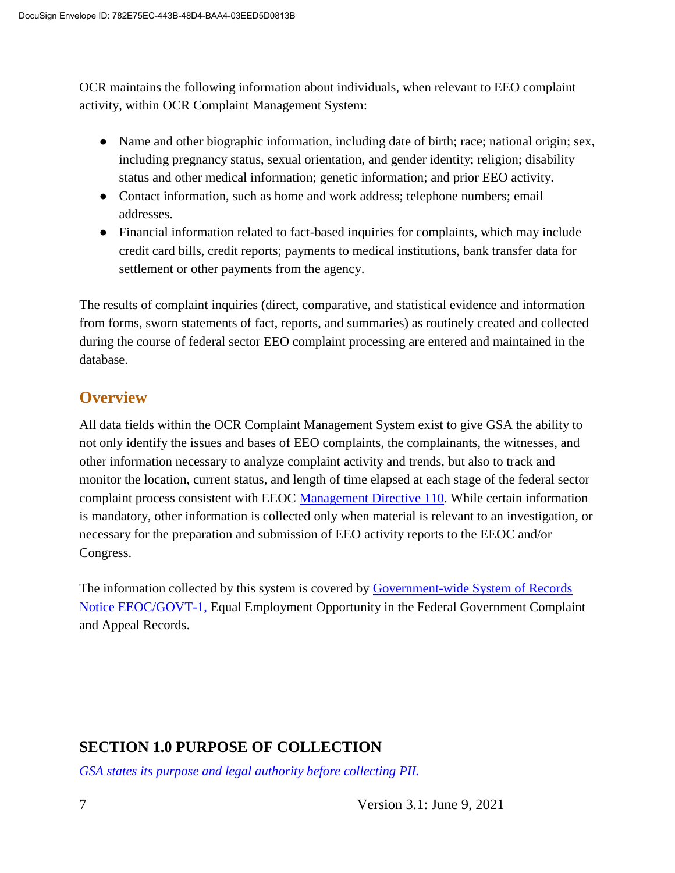OCR maintains the following information about individuals, when relevant to EEO complaint activity, within OCR Complaint Management System:

- Name and other biographic information, including date of birth; race; national origin; sex, including pregnancy status, sexual orientation, and gender identity; religion; disability status and other medical information; genetic information; and prior EEO activity.
- Contact information, such as home and work address; telephone numbers; email addresses.
- Financial information related to fact-based inquiries for complaints, which may include credit card bills, credit reports; payments to medical institutions, bank transfer data for settlement or other payments from the agency.

The results of complaint inquiries (direct, comparative, and statistical evidence and information from forms, sworn statements of fact, reports, and summaries) as routinely created and collected during the course of federal sector EEO complaint processing are entered and maintained in the database.

## **Overview**

All data fields within the OCR Complaint Management System exist to give GSA the ability to not only identify the issues and bases of EEO complaints, the complainants, the witnesses, and other information necessary to analyze complaint activity and trends, but also to track and monitor the location, current status, and length of time elapsed at each stage of the federal sector complaint process consistent with EEOC Management Directive 110. While certain information is mandatory, other information is collected only when material is relevant to an investigation, or necessary for the preparation and submission of EEO activity reports to the EEOC and/or Congress.

The information collected by this system is covered by Government-wide System of Records Notice EEOC/GOVT-1, Equal Employment Opportunity in the Federal Government Complaint and Appeal Records.

## **SECTION 1.0 PURPOSE OF COLLECTION**

*GSA states its purpose and legal authority before collecting PII.*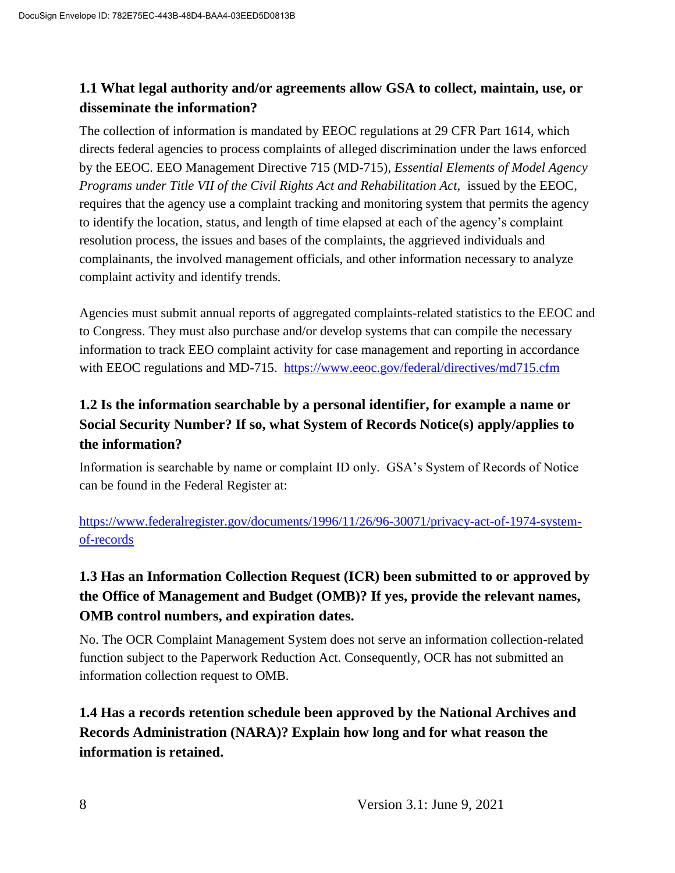#### **1.1 What legal authority and/or agreements allow GSA to collect, maintain, use, or disseminate the information?**

The collection of information is mandated by EEOC regulations at 29 CFR Part 1614, which directs federal agencies to process complaints of alleged discrimination under the laws enforced by the EEOC. EEO Management Directive 715 (MD-715), *Essential Elements of Model Agency Programs under Title VII of the Civil Rights Act and Rehabilitation Act,* issued by the EEOC, requires that the agency use a complaint tracking and monitoring system that permits the agency to identify the location, status, and length of time elapsed at each of the agency's complaint resolution process, the issues and bases of the complaints, the aggrieved individuals and complainants, the involved management officials, and other information necessary to analyze complaint activity and identify trends.

Agencies must submit annual reports of aggregated complaints-related statistics to the EEOC and to Congress. They must also purchase and/or develop systems that can compile the necessary information to track EEO complaint activity for case management and reporting in accordance with EEOC regulations and MD-715. https://www.eeoc.gov/federal/directives/md715.cfm

## **1.2 Is the information searchable by a personal identifier, for example a name or Social Security Number? If so, what System of Records Notice(s) apply/applies to the information?**

Information is searchable by name or complaint ID only. GSA's System of Records of Notice can be found in the Federal Register at:

https://www.federalregister.gov/documents/1996/11/26/96-30071/privacy-act-of-1974-systemof-records

## **1.3 Has an Information Collection Request (ICR) been submitted to or approved by the Office of Management and Budget (OMB)? If yes, provide the relevant names, OMB control numbers, and expiration dates.**

No. The OCR Complaint Management System does not serve an information collection-related function subject to the Paperwork Reduction Act. Consequently, OCR has not submitted an information collection request to OMB.

## **1.4 Has a records retention schedule been approved by the National Archives and Records Administration (NARA)? Explain how long and for what reason the information is retained.**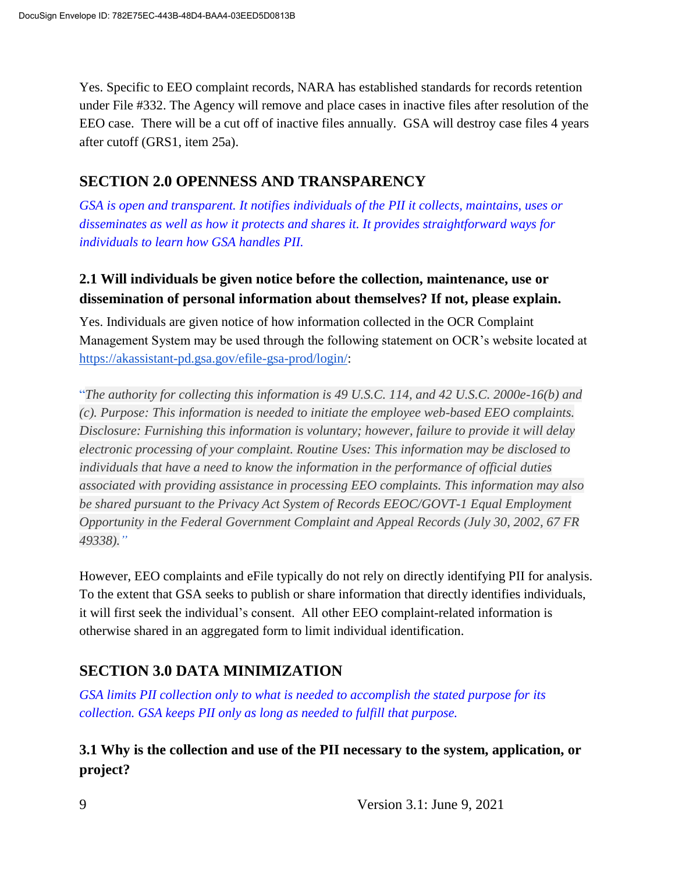Yes. Specific to EEO complaint records, NARA has established standards for records retention under File #332. The Agency will remove and place cases in inactive files after resolution of the EEO case. There will be a cut off of inactive files annually. GSA will destroy case files 4 years after cutoff (GRS1, item 25a).

#### **SECTION 2.0 OPENNESS AND TRANSPARENCY**

*GSA is open and transparent. It notifies individuals of the PII it collects, maintains, uses or disseminates as well as how it protects and shares it. It provides straightforward ways for individuals to learn how GSA handles PII.*

#### **2.1 Will individuals be given notice before the collection, maintenance, use or dissemination of personal information about themselves? If not, please explain.**

Yes. Individuals are given notice of how information collected in the OCR Complaint Management System may be used through the following statement on OCR's website located at https://akassistant-pd.gsa.gov/efile-gsa-prod/login/:

"*The authority for collecting this information is 49 U.S.C. 114, and 42 U.S.C. 2000e-16(b) and (c). Purpose: This information is needed to initiate the employee web-based EEO complaints. Disclosure: Furnishing this information is voluntary; however, failure to provide it will delay electronic processing of your complaint. Routine Uses: This information may be disclosed to individuals that have a need to know the information in the performance of official duties associated with providing assistance in processing EEO complaints. This information may also be shared pursuant to the Privacy Act System of Records EEOC/GOVT-1 Equal Employment Opportunity in the Federal Government Complaint and Appeal Records (July 30, 2002, 67 FR 49338)."*

However, EEO complaints and eFile typically do not rely on directly identifying PII for analysis. To the extent that GSA seeks to publish or share information that directly identifies individuals, it will first seek the individual's consent. All other EEO complaint-related information is otherwise shared in an aggregated form to limit individual identification.

## **SECTION 3.0 DATA MINIMIZATION**

*GSA limits PII collection only to what is needed to accomplish the stated purpose for its collection. GSA keeps PII only as long as needed to fulfill that purpose.*

#### **3.1 Why is the collection and use of the PII necessary to the system, application, or project?**

9 Version 3.1: June 9, 2021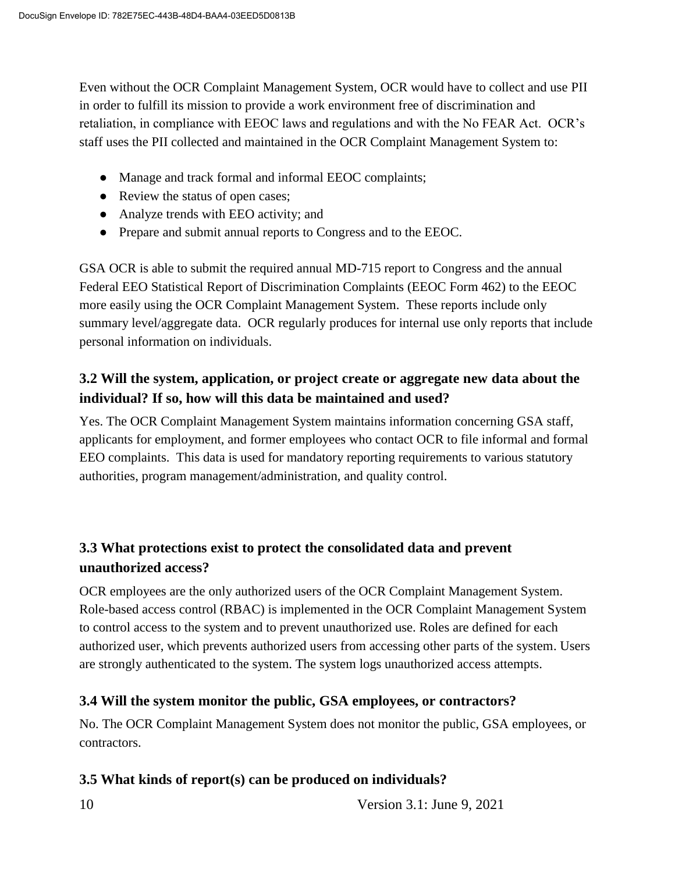Even without the OCR Complaint Management System, OCR would have to collect and use PII in order to fulfill its mission to provide a work environment free of discrimination and retaliation, in compliance with EEOC laws and regulations and with the No FEAR Act. OCR's staff uses the PII collected and maintained in the OCR Complaint Management System to:

- Manage and track formal and informal EEOC complaints;
- Review the status of open cases;
- Analyze trends with EEO activity; and
- Prepare and submit annual reports to Congress and to the EEOC.

GSA OCR is able to submit the required annual MD-715 report to Congress and the annual Federal EEO Statistical Report of Discrimination Complaints (EEOC Form 462) to the EEOC more easily using the OCR Complaint Management System. These reports include only summary level/aggregate data. OCR regularly produces for internal use only reports that include personal information on individuals.

#### **3.2 Will the system, application, or project create or aggregate new data about the individual? If so, how will this data be maintained and used?**

Yes. The OCR Complaint Management System maintains information concerning GSA staff, applicants for employment, and former employees who contact OCR to file informal and formal EEO complaints. This data is used for mandatory reporting requirements to various statutory authorities, program management/administration, and quality control.

#### **3.3 What protections exist to protect the consolidated data and prevent unauthorized access?**

OCR employees are the only authorized users of the OCR Complaint Management System. Role-based access control (RBAC) is implemented in the OCR Complaint Management System to control access to the system and to prevent unauthorized use. Roles are defined for each authorized user, which prevents authorized users from accessing other parts of the system. Users are strongly authenticated to the system. The system logs unauthorized access attempts.

#### **3.4 Will the system monitor the public, GSA employees, or contractors?**

No. The OCR Complaint Management System does not monitor the public, GSA employees, or contractors.

#### **3.5 What kinds of report(s) can be produced on individuals?**

10 Version 3.1: June 9, 2021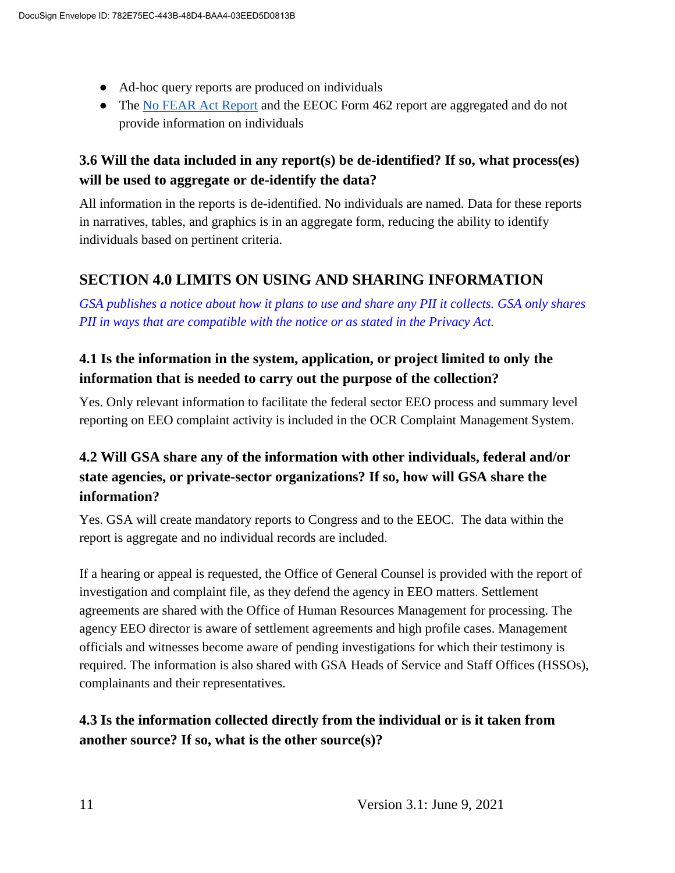- Ad-hoc query reports are produced on individuals
- The No FEAR Act Report and the EEOC Form 462 report are aggregated and do not provide information on individuals

#### **3.6 Will the data included in any report(s) be de-identified? If so, what process(es) will be used to aggregate or de-identify the data?**

All information in the reports is de-identified. No individuals are named. Data for these reports in narratives, tables, and graphics is in an aggregate form, reducing the ability to identify individuals based on pertinent criteria.

#### **SECTION 4.0 LIMITS ON USING AND SHARING INFORMATION**

*GSA publishes a notice about how it plans to use and share any PII it collects. GSA only shares PII in ways that are compatible with the notice or as stated in the Privacy Act.*

#### **4.1 Is the information in the system, application, or project limited to only the information that is needed to carry out the purpose of the collection?**

Yes. Only relevant information to facilitate the federal sector EEO process and summary level reporting on EEO complaint activity is included in the OCR Complaint Management System.

## **4.2 Will GSA share any of the information with other individuals, federal and/or state agencies, or private-sector organizations? If so, how will GSA share the information?**

Yes. GSA will create mandatory reports to Congress and to the EEOC. The data within the report is aggregate and no individual records are included.

If a hearing or appeal is requested, the Office of General Counsel is provided with the report of investigation and complaint file, as they defend the agency in EEO matters. Settlement agreements are shared with the Office of Human Resources Management for processing. The agency EEO director is aware of settlement agreements and high profile cases. Management officials and witnesses become aware of pending investigations for which their testimony is required. The information is also shared with GSA Heads of Service and Staff Offices (HSSOs), complainants and their representatives.

## **4.3 Is the information collected directly from the individual or is it taken from another source? If so, what is the other source(s)?**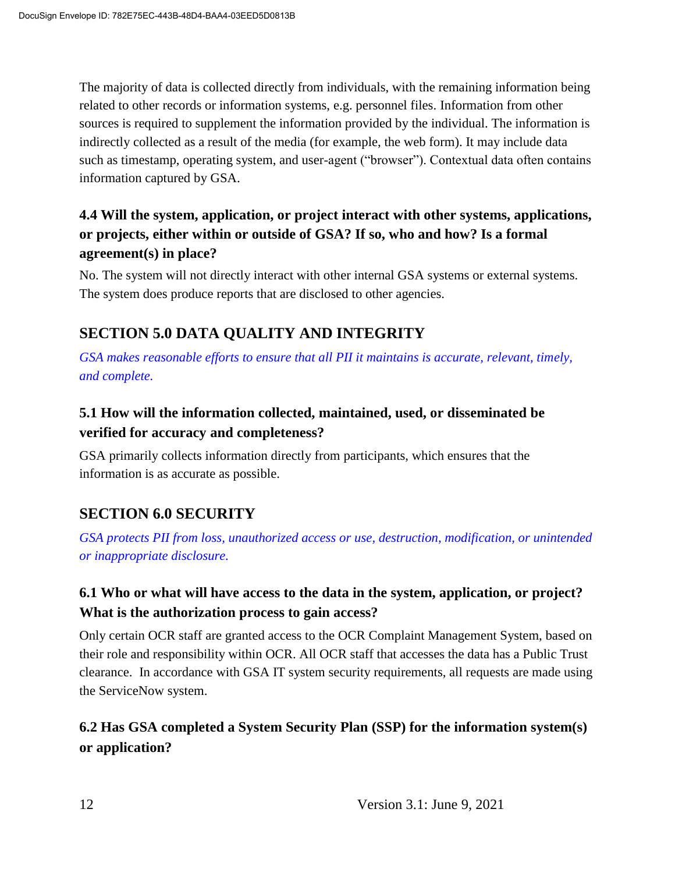The majority of data is collected directly from individuals, with the remaining information being related to other records or information systems, e.g. personnel files. Information from other sources is required to supplement the information provided by the individual. The information is indirectly collected as a result of the media (for example, the web form). It may include data such as timestamp, operating system, and user-agent ("browser"). Contextual data often contains information captured by GSA.

#### **4.4 Will the system, application, or project interact with other systems, applications, or projects, either within or outside of GSA? If so, who and how? Is a formal agreement(s) in place?**

No. The system will not directly interact with other internal GSA systems or external systems. The system does produce reports that are disclosed to other agencies.

## **SECTION 5.0 DATA QUALITY AND INTEGRITY**

*GSA makes reasonable efforts to ensure that all PII it maintains is accurate, relevant, timely, and complete.*

## **5.1 How will the information collected, maintained, used, or disseminated be verified for accuracy and completeness?**

GSA primarily collects information directly from participants, which ensures that the information is as accurate as possible.

## **SECTION 6.0 SECURITY**

*GSA protects PII from loss, unauthorized access or use, destruction, modification, or unintended or inappropriate disclosure.*

## **6.1 Who or what will have access to the data in the system, application, or project? What is the authorization process to gain access?**

Only certain OCR staff are granted access to the OCR Complaint Management System, based on their role and responsibility within OCR. All OCR staff that accesses the data has a Public Trust clearance. In accordance with GSA IT system security requirements, all requests are made using the ServiceNow system.

## **6.2 Has GSA completed a System Security Plan (SSP) for the information system(s) or application?**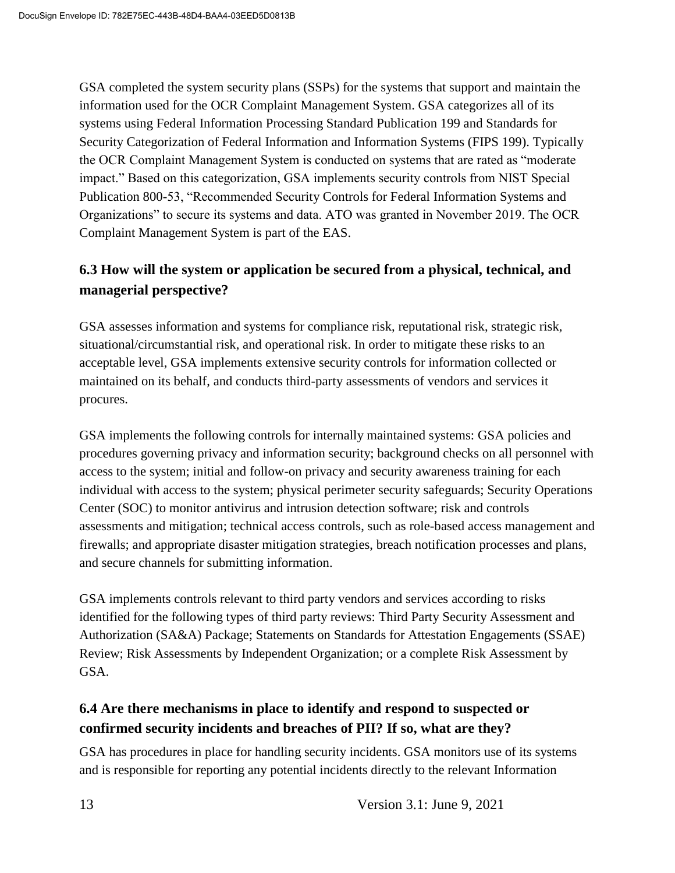GSA completed the system security plans (SSPs) for the systems that support and maintain the information used for the OCR Complaint Management System. GSA categorizes all of its systems using Federal Information Processing Standard Publication 199 and Standards for Security Categorization of Federal Information and Information Systems (FIPS 199). Typically the OCR Complaint Management System is conducted on systems that are rated as "moderate impact." Based on this categorization, GSA implements security controls from NIST Special Publication 800-53, "Recommended Security Controls for Federal Information Systems and Organizations" to secure its systems and data. ATO was granted in November 2019. The OCR Complaint Management System is part of the EAS.

#### **6.3 How will the system or application be secured from a physical, technical, and managerial perspective?**

GSA assesses information and systems for compliance risk, reputational risk, strategic risk, situational/circumstantial risk, and operational risk. In order to mitigate these risks to an acceptable level, GSA implements extensive security controls for information collected or maintained on its behalf, and conducts third-party assessments of vendors and services it procures.

GSA implements the following controls for internally maintained systems: GSA policies and procedures governing privacy and information security; background checks on all personnel with access to the system; initial and follow-on privacy and security awareness training for each individual with access to the system; physical perimeter security safeguards; Security Operations Center (SOC) to monitor antivirus and intrusion detection software; risk and controls assessments and mitigation; technical access controls, such as role-based access management and firewalls; and appropriate disaster mitigation strategies, breach notification processes and plans, and secure channels for submitting information.

GSA implements controls relevant to third party vendors and services according to risks identified for the following types of third party reviews: Third Party Security Assessment and Authorization (SA&A) Package; Statements on Standards for Attestation Engagements (SSAE) Review; Risk Assessments by Independent Organization; or a complete Risk Assessment by GSA.

#### **6.4 Are there mechanisms in place to identify and respond to suspected or confirmed security incidents and breaches of PII? If so, what are they?**

GSA has procedures in place for handling security incidents. GSA monitors use of its systems and is responsible for reporting any potential incidents directly to the relevant Information

13 Version 3.1: June 9, 2021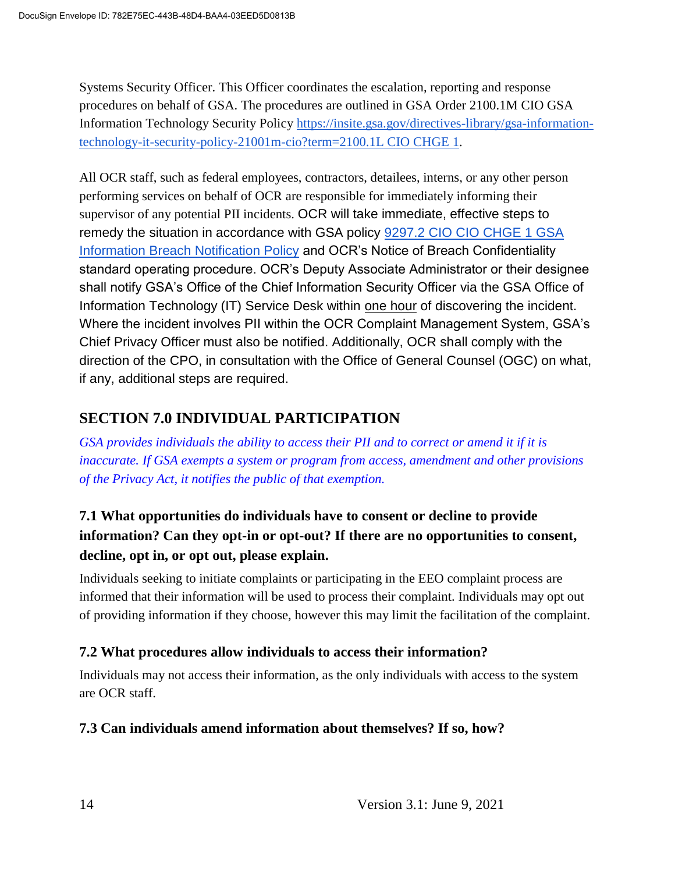Systems Security Officer. This Officer coordinates the escalation, reporting and response procedures on behalf of GSA. The procedures are outlined in GSA Order 2100.1M CIO GSA Information Technology Security Policy https://insite.gsa.gov/directives-library/gsa-informationtechnology-it-security-policy-21001m-cio?term=2100.1L CIO CHGE 1.

All OCR staff, such as federal employees, contractors, detailees, interns, or any other person performing services on behalf of OCR are responsible for immediately informing their supervisor of any potential PII incidents. OCR will take immediate, effective steps to remedy the situation in accordance with GSA policy 9297.2 CIO CIO CHGE 1 GSA Information Breach Notification Policy and OCR's Notice of Breach Confidentiality standard operating procedure. OCR's Deputy Associate Administrator or their designee shall notify GSA's Office of the Chief Information Security Officer via the GSA Office of Information Technology (IT) Service Desk within one hour of discovering the incident. Where the incident involves PII within the OCR Complaint Management System, GSA's Chief Privacy Officer must also be notified. Additionally, OCR shall comply with the direction of the CPO, in consultation with the Office of General Counsel (OGC) on what, if any, additional steps are required.

## **SECTION 7.0 INDIVIDUAL PARTICIPATION**

*GSA provides individuals the ability to access their PII and to correct or amend it if it is inaccurate. If GSA exempts a system or program from access, amendment and other provisions of the Privacy Act, it notifies the public of that exemption.*

## **7.1 What opportunities do individuals have to consent or decline to provide information? Can they opt-in or opt-out? If there are no opportunities to consent, decline, opt in, or opt out, please explain.**

Individuals seeking to initiate complaints or participating in the EEO complaint process are informed that their information will be used to process their complaint. Individuals may opt out of providing information if they choose, however this may limit the facilitation of the complaint.

#### **7.2 What procedures allow individuals to access their information?**

Individuals may not access their information, as the only individuals with access to the system are OCR staff.

#### **7.3 Can individuals amend information about themselves? If so, how?**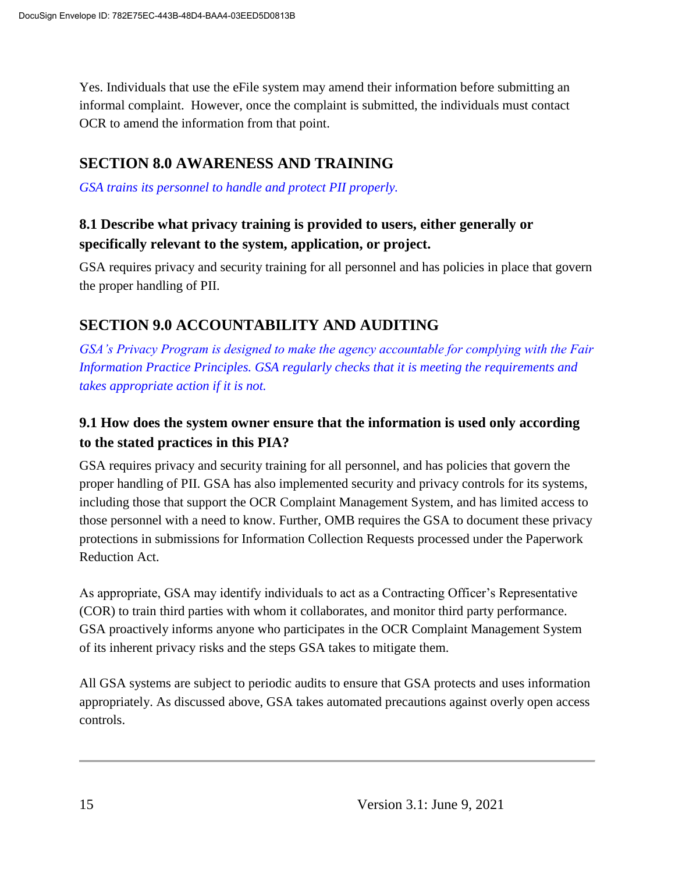Yes. Individuals that use the eFile system may amend their information before submitting an informal complaint. However, once the complaint is submitted, the individuals must contact OCR to amend the information from that point.

#### **SECTION 8.0 AWARENESS AND TRAINING**

*GSA trains its personnel to handle and protect PII properly.*

#### **8.1 Describe what privacy training is provided to users, either generally or specifically relevant to the system, application, or project.**

GSA requires privacy and security training for all personnel and has policies in place that govern the proper handling of PII.

#### **SECTION 9.0 ACCOUNTABILITY AND AUDITING**

*GSA's Privacy Program is designed to make the agency accountable for complying with the Fair Information Practice Principles. GSA regularly checks that it is meeting the requirements and takes appropriate action if it is not.*

#### **9.1 How does the system owner ensure that the information is used only according to the stated practices in this PIA?**

GSA requires privacy and security training for all personnel, and has policies that govern the proper handling of PII. GSA has also implemented security and privacy controls for its systems, including those that support the OCR Complaint Management System, and has limited access to those personnel with a need to know. Further, OMB requires the GSA to document these privacy protections in submissions for Information Collection Requests processed under the Paperwork Reduction Act.

As appropriate, GSA may identify individuals to act as a Contracting Officer's Representative (COR) to train third parties with whom it collaborates, and monitor third party performance. GSA proactively informs anyone who participates in the OCR Complaint Management System of its inherent privacy risks and the steps GSA takes to mitigate them.

All GSA systems are subject to periodic audits to ensure that GSA protects and uses information appropriately. As discussed above, GSA takes automated precautions against overly open access controls.